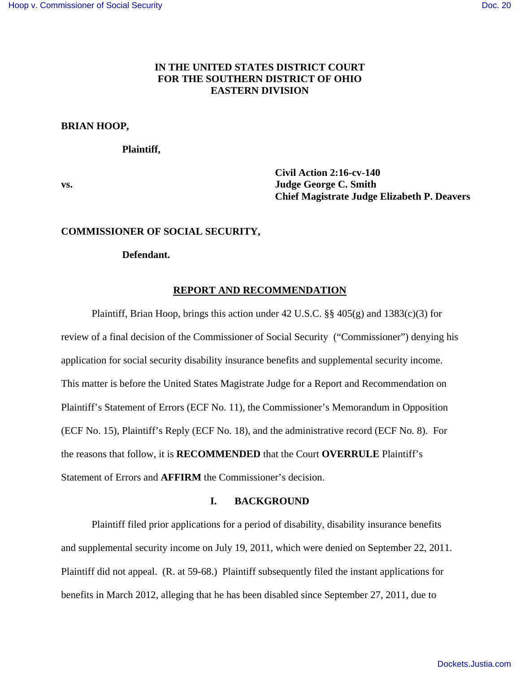# **IN THE UNITED STATES DISTRICT COURT FOR THE SOUTHERN DISTRICT OF OHIO EASTERN DIVISION**

## **BRIAN HOOP,**

 **Plaintiff,** 

 **Civil Action 2:16-cv-140 vs. Judge George C. Smith Chief Magistrate Judge Elizabeth P. Deavers** 

## **COMMISSIONER OF SOCIAL SECURITY,**

### **Defendant.**

## **REPORT AND RECOMMENDATION**

 Plaintiff, Brian Hoop, brings this action under 42 U.S.C. §§ 405(g) and 1383(c)(3) for review of a final decision of the Commissioner of Social Security ("Commissioner") denying his application for social security disability insurance benefits and supplemental security income. This matter is before the United States Magistrate Judge for a Report and Recommendation on Plaintiff's Statement of Errors (ECF No. 11), the Commissioner's Memorandum in Opposition (ECF No. 15), Plaintiff's Reply (ECF No. 18), and the administrative record (ECF No. 8). For the reasons that follow, it is **RECOMMENDED** that the Court **OVERRULE** Plaintiff's Statement of Errors and **AFFIRM** the Commissioner's decision.

## **I. BACKGROUND**

 Plaintiff filed prior applications for a period of disability, disability insurance benefits and supplemental security income on July 19, 2011, which were denied on September 22, 2011. Plaintiff did not appeal. (R. at 59-68.) Plaintiff subsequently filed the instant applications for benefits in March 2012, alleging that he has been disabled since September 27, 2011, due to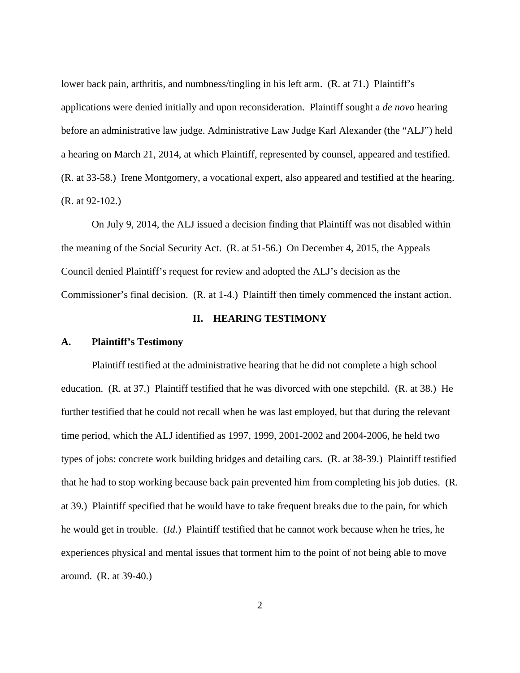lower back pain, arthritis, and numbness/tingling in his left arm. (R. at 71.) Plaintiff's applications were denied initially and upon reconsideration. Plaintiff sought a *de novo* hearing before an administrative law judge. Administrative Law Judge Karl Alexander (the "ALJ") held a hearing on March 21, 2014, at which Plaintiff, represented by counsel, appeared and testified. (R. at 33-58.) Irene Montgomery, a vocational expert, also appeared and testified at the hearing. (R. at 92-102.)

 On July 9, 2014, the ALJ issued a decision finding that Plaintiff was not disabled within the meaning of the Social Security Act. (R. at 51-56.) On December 4, 2015, the Appeals Council denied Plaintiff's request for review and adopted the ALJ's decision as the Commissioner's final decision. (R. at 1-4.) Plaintiff then timely commenced the instant action.

## **II. HEARING TESTIMONY**

#### **A. Plaintiff's Testimony**

 Plaintiff testified at the administrative hearing that he did not complete a high school education. (R. at 37.) Plaintiff testified that he was divorced with one stepchild. (R. at 38.) He further testified that he could not recall when he was last employed, but that during the relevant time period, which the ALJ identified as 1997, 1999, 2001-2002 and 2004-2006, he held two types of jobs: concrete work building bridges and detailing cars. (R. at 38-39.) Plaintiff testified that he had to stop working because back pain prevented him from completing his job duties. (R. at 39.) Plaintiff specified that he would have to take frequent breaks due to the pain, for which he would get in trouble. (*Id*.) Plaintiff testified that he cannot work because when he tries, he experiences physical and mental issues that torment him to the point of not being able to move around. (R. at 39-40.)

2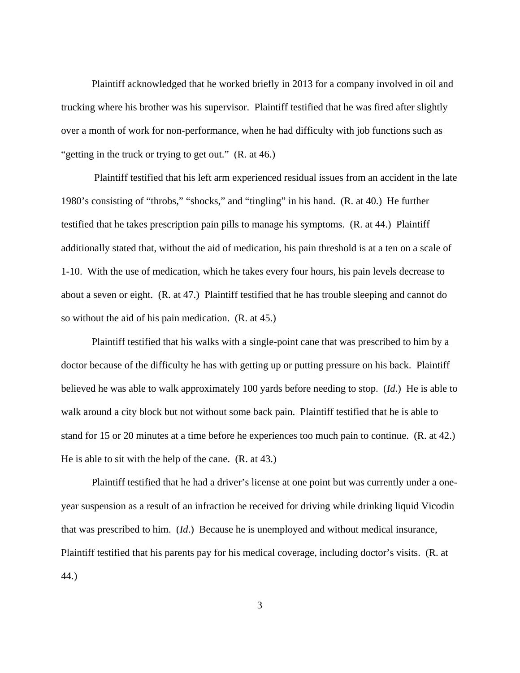Plaintiff acknowledged that he worked briefly in 2013 for a company involved in oil and trucking where his brother was his supervisor. Plaintiff testified that he was fired after slightly over a month of work for non-performance, when he had difficulty with job functions such as "getting in the truck or trying to get out." (R. at 46.)

 Plaintiff testified that his left arm experienced residual issues from an accident in the late 1980's consisting of "throbs," "shocks," and "tingling" in his hand. (R. at 40.) He further testified that he takes prescription pain pills to manage his symptoms. (R. at 44.) Plaintiff additionally stated that, without the aid of medication, his pain threshold is at a ten on a scale of 1-10. With the use of medication, which he takes every four hours, his pain levels decrease to about a seven or eight. (R. at 47.) Plaintiff testified that he has trouble sleeping and cannot do so without the aid of his pain medication. (R. at 45.)

 Plaintiff testified that his walks with a single-point cane that was prescribed to him by a doctor because of the difficulty he has with getting up or putting pressure on his back. Plaintiff believed he was able to walk approximately 100 yards before needing to stop. (*Id*.) He is able to walk around a city block but not without some back pain. Plaintiff testified that he is able to stand for 15 or 20 minutes at a time before he experiences too much pain to continue. (R. at 42.) He is able to sit with the help of the cane. (R. at 43.)

 Plaintiff testified that he had a driver's license at one point but was currently under a oneyear suspension as a result of an infraction he received for driving while drinking liquid Vicodin that was prescribed to him. (*Id*.) Because he is unemployed and without medical insurance, Plaintiff testified that his parents pay for his medical coverage, including doctor's visits. (R. at 44.)

3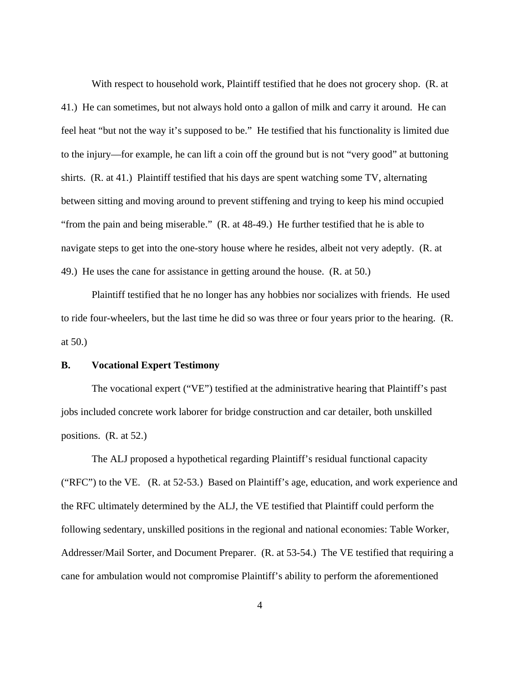With respect to household work, Plaintiff testified that he does not grocery shop. (R. at 41.) He can sometimes, but not always hold onto a gallon of milk and carry it around. He can feel heat "but not the way it's supposed to be." He testified that his functionality is limited due to the injury—for example, he can lift a coin off the ground but is not "very good" at buttoning shirts. (R. at 41.) Plaintiff testified that his days are spent watching some TV, alternating between sitting and moving around to prevent stiffening and trying to keep his mind occupied "from the pain and being miserable." (R. at 48-49.) He further testified that he is able to navigate steps to get into the one-story house where he resides, albeit not very adeptly. (R. at 49.) He uses the cane for assistance in getting around the house. (R. at 50.)

 Plaintiff testified that he no longer has any hobbies nor socializes with friends. He used to ride four-wheelers, but the last time he did so was three or four years prior to the hearing. (R. at 50.)

### **B. Vocational Expert Testimony**

 The vocational expert ("VE") testified at the administrative hearing that Plaintiff's past jobs included concrete work laborer for bridge construction and car detailer, both unskilled positions. (R. at 52.)

 The ALJ proposed a hypothetical regarding Plaintiff's residual functional capacity ("RFC") to the VE. (R. at 52-53.) Based on Plaintiff's age, education, and work experience and the RFC ultimately determined by the ALJ, the VE testified that Plaintiff could perform the following sedentary, unskilled positions in the regional and national economies: Table Worker, Addresser/Mail Sorter, and Document Preparer. (R. at 53-54.) The VE testified that requiring a cane for ambulation would not compromise Plaintiff's ability to perform the aforementioned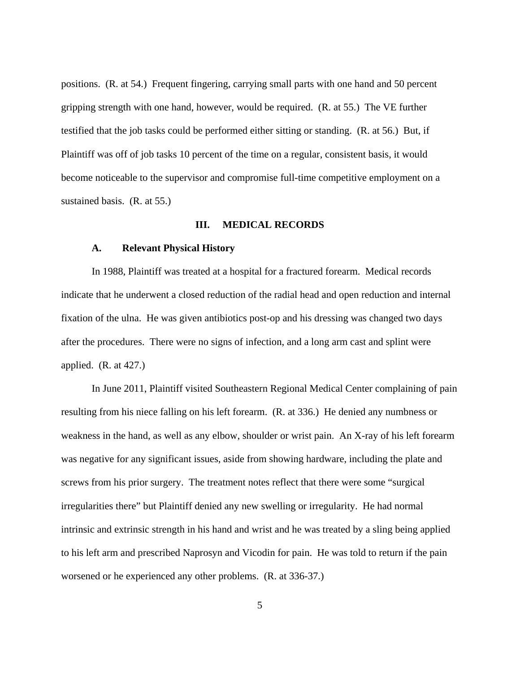positions. (R. at 54.) Frequent fingering, carrying small parts with one hand and 50 percent gripping strength with one hand, however, would be required. (R. at 55.) The VE further testified that the job tasks could be performed either sitting or standing. (R. at 56.) But, if Plaintiff was off of job tasks 10 percent of the time on a regular, consistent basis, it would become noticeable to the supervisor and compromise full-time competitive employment on a sustained basis. (R. at 55.)

### **III. MEDICAL RECORDS**

### **A. Relevant Physical History**

In 1988, Plaintiff was treated at a hospital for a fractured forearm. Medical records indicate that he underwent a closed reduction of the radial head and open reduction and internal fixation of the ulna. He was given antibiotics post-op and his dressing was changed two days after the procedures. There were no signs of infection, and a long arm cast and splint were applied. (R. at 427.)

In June 2011, Plaintiff visited Southeastern Regional Medical Center complaining of pain resulting from his niece falling on his left forearm. (R. at 336.) He denied any numbness or weakness in the hand, as well as any elbow, shoulder or wrist pain. An X-ray of his left forearm was negative for any significant issues, aside from showing hardware, including the plate and screws from his prior surgery. The treatment notes reflect that there were some "surgical irregularities there" but Plaintiff denied any new swelling or irregularity. He had normal intrinsic and extrinsic strength in his hand and wrist and he was treated by a sling being applied to his left arm and prescribed Naprosyn and Vicodin for pain. He was told to return if the pain worsened or he experienced any other problems. (R. at 336-37.)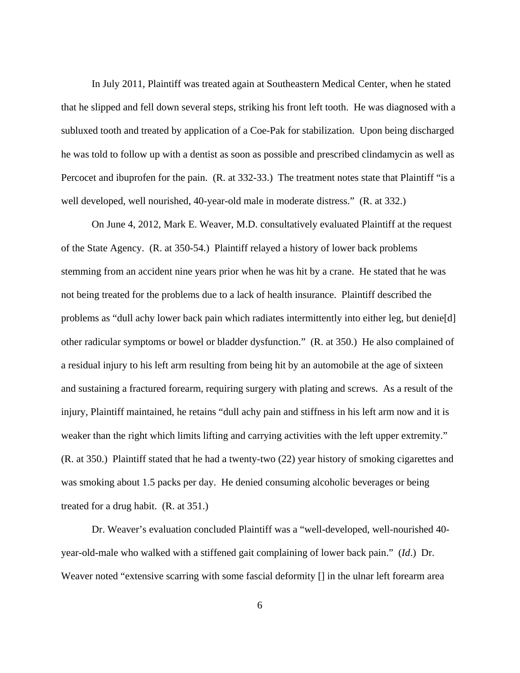In July 2011, Plaintiff was treated again at Southeastern Medical Center, when he stated that he slipped and fell down several steps, striking his front left tooth. He was diagnosed with a subluxed tooth and treated by application of a Coe-Pak for stabilization. Upon being discharged he was told to follow up with a dentist as soon as possible and prescribed clindamycin as well as Percocet and ibuprofen for the pain. (R. at 332-33.) The treatment notes state that Plaintiff "is a well developed, well nourished, 40-year-old male in moderate distress." (R. at 332.)

On June 4, 2012, Mark E. Weaver, M.D. consultatively evaluated Plaintiff at the request of the State Agency. (R. at 350-54.) Plaintiff relayed a history of lower back problems stemming from an accident nine years prior when he was hit by a crane. He stated that he was not being treated for the problems due to a lack of health insurance. Plaintiff described the problems as "dull achy lower back pain which radiates intermittently into either leg, but denie[d] other radicular symptoms or bowel or bladder dysfunction." (R. at 350.) He also complained of a residual injury to his left arm resulting from being hit by an automobile at the age of sixteen and sustaining a fractured forearm, requiring surgery with plating and screws. As a result of the injury, Plaintiff maintained, he retains "dull achy pain and stiffness in his left arm now and it is weaker than the right which limits lifting and carrying activities with the left upper extremity." (R. at 350.) Plaintiff stated that he had a twenty-two (22) year history of smoking cigarettes and was smoking about 1.5 packs per day. He denied consuming alcoholic beverages or being treated for a drug habit. (R. at 351.)

Dr. Weaver's evaluation concluded Plaintiff was a "well-developed, well-nourished 40 year-old-male who walked with a stiffened gait complaining of lower back pain." (*Id*.) Dr. Weaver noted "extensive scarring with some fascial deformity  $\prod$  in the ulnar left forearm area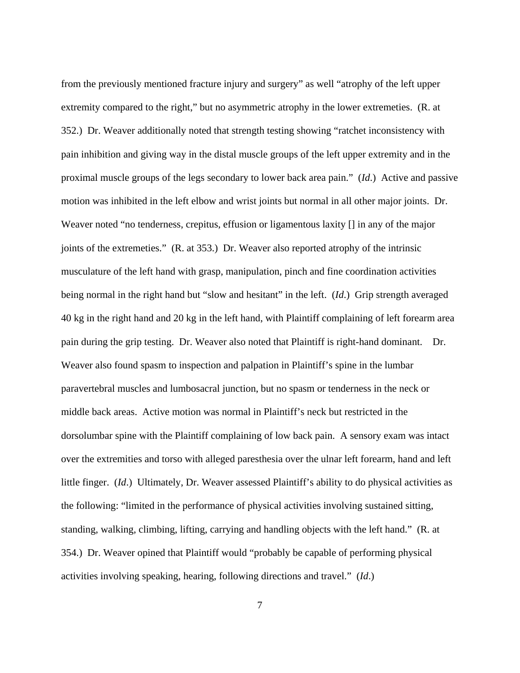from the previously mentioned fracture injury and surgery" as well "atrophy of the left upper extremity compared to the right," but no asymmetric atrophy in the lower extremeties. (R. at 352.) Dr. Weaver additionally noted that strength testing showing "ratchet inconsistency with pain inhibition and giving way in the distal muscle groups of the left upper extremity and in the proximal muscle groups of the legs secondary to lower back area pain." (*Id*.) Active and passive motion was inhibited in the left elbow and wrist joints but normal in all other major joints. Dr. Weaver noted "no tenderness, crepitus, effusion or ligamentous laxity  $\iota$  in any of the major joints of the extremeties." (R. at 353.) Dr. Weaver also reported atrophy of the intrinsic musculature of the left hand with grasp, manipulation, pinch and fine coordination activities being normal in the right hand but "slow and hesitant" in the left. (*Id*.) Grip strength averaged 40 kg in the right hand and 20 kg in the left hand, with Plaintiff complaining of left forearm area pain during the grip testing. Dr. Weaver also noted that Plaintiff is right-hand dominant. Dr. Weaver also found spasm to inspection and palpation in Plaintiff's spine in the lumbar paravertebral muscles and lumbosacral junction, but no spasm or tenderness in the neck or middle back areas. Active motion was normal in Plaintiff's neck but restricted in the dorsolumbar spine with the Plaintiff complaining of low back pain. A sensory exam was intact over the extremities and torso with alleged paresthesia over the ulnar left forearm, hand and left little finger. (*Id*.) Ultimately, Dr. Weaver assessed Plaintiff's ability to do physical activities as the following: "limited in the performance of physical activities involving sustained sitting, standing, walking, climbing, lifting, carrying and handling objects with the left hand." (R. at 354.) Dr. Weaver opined that Plaintiff would "probably be capable of performing physical activities involving speaking, hearing, following directions and travel." (*Id*.)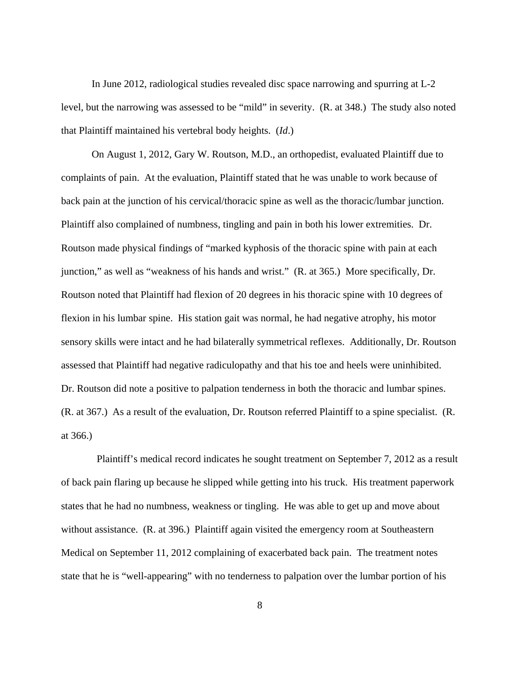In June 2012, radiological studies revealed disc space narrowing and spurring at L-2 level, but the narrowing was assessed to be "mild" in severity. (R. at 348.) The study also noted that Plaintiff maintained his vertebral body heights. (*Id*.)

On August 1, 2012, Gary W. Routson, M.D., an orthopedist, evaluated Plaintiff due to complaints of pain. At the evaluation, Plaintiff stated that he was unable to work because of back pain at the junction of his cervical/thoracic spine as well as the thoracic/lumbar junction. Plaintiff also complained of numbness, tingling and pain in both his lower extremities. Dr. Routson made physical findings of "marked kyphosis of the thoracic spine with pain at each junction," as well as "weakness of his hands and wrist." (R. at 365.) More specifically, Dr. Routson noted that Plaintiff had flexion of 20 degrees in his thoracic spine with 10 degrees of flexion in his lumbar spine. His station gait was normal, he had negative atrophy, his motor sensory skills were intact and he had bilaterally symmetrical reflexes. Additionally, Dr. Routson assessed that Plaintiff had negative radiculopathy and that his toe and heels were uninhibited. Dr. Routson did note a positive to palpation tenderness in both the thoracic and lumbar spines. (R. at 367.) As a result of the evaluation, Dr. Routson referred Plaintiff to a spine specialist. (R. at 366.)

 Plaintiff's medical record indicates he sought treatment on September 7, 2012 as a result of back pain flaring up because he slipped while getting into his truck. His treatment paperwork states that he had no numbness, weakness or tingling. He was able to get up and move about without assistance. (R. at 396.) Plaintiff again visited the emergency room at Southeastern Medical on September 11, 2012 complaining of exacerbated back pain. The treatment notes state that he is "well-appearing" with no tenderness to palpation over the lumbar portion of his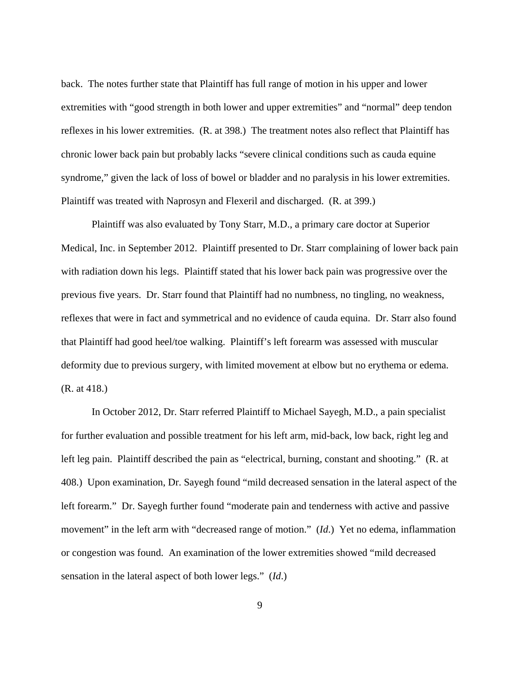back. The notes further state that Plaintiff has full range of motion in his upper and lower extremities with "good strength in both lower and upper extremities" and "normal" deep tendon reflexes in his lower extremities. (R. at 398.) The treatment notes also reflect that Plaintiff has chronic lower back pain but probably lacks "severe clinical conditions such as cauda equine syndrome," given the lack of loss of bowel or bladder and no paralysis in his lower extremities. Plaintiff was treated with Naprosyn and Flexeril and discharged. (R. at 399.)

 Plaintiff was also evaluated by Tony Starr, M.D., a primary care doctor at Superior Medical, Inc. in September 2012. Plaintiff presented to Dr. Starr complaining of lower back pain with radiation down his legs. Plaintiff stated that his lower back pain was progressive over the previous five years. Dr. Starr found that Plaintiff had no numbness, no tingling, no weakness, reflexes that were in fact and symmetrical and no evidence of cauda equina. Dr. Starr also found that Plaintiff had good heel/toe walking. Plaintiff's left forearm was assessed with muscular deformity due to previous surgery, with limited movement at elbow but no erythema or edema. (R. at 418.)

 In October 2012, Dr. Starr referred Plaintiff to Michael Sayegh, M.D., a pain specialist for further evaluation and possible treatment for his left arm, mid-back, low back, right leg and left leg pain. Plaintiff described the pain as "electrical, burning, constant and shooting." (R. at 408.) Upon examination, Dr. Sayegh found "mild decreased sensation in the lateral aspect of the left forearm." Dr. Sayegh further found "moderate pain and tenderness with active and passive movement" in the left arm with "decreased range of motion." (*Id*.) Yet no edema, inflammation or congestion was found. An examination of the lower extremities showed "mild decreased sensation in the lateral aspect of both lower legs." (*Id*.)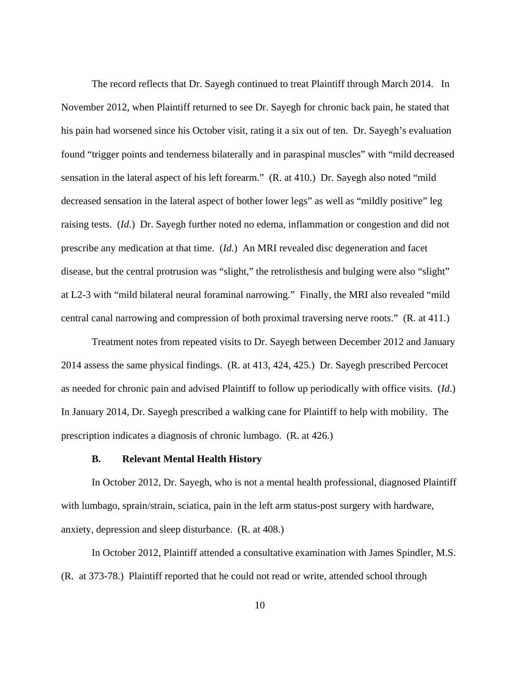The record reflects that Dr. Sayegh continued to treat Plaintiff through March 2014. In November 2012, when Plaintiff returned to see Dr. Sayegh for chronic back pain, he stated that his pain had worsened since his October visit, rating it a six out of ten. Dr. Sayegh's evaluation found "trigger points and tenderness bilaterally and in paraspinal muscles" with "mild decreased sensation in the lateral aspect of his left forearm." (R. at 410.) Dr. Sayegh also noted "mild decreased sensation in the lateral aspect of bother lower legs" as well as "mildly positive" leg raising tests. (*Id*.) Dr. Sayegh further noted no edema, inflammation or congestion and did not prescribe any medication at that time. (*Id*.) An MRI revealed disc degeneration and facet disease, but the central protrusion was "slight," the retrolisthesis and bulging were also "slight" at L2-3 with "mild bilateral neural foraminal narrowing." Finally, the MRI also revealed "mild central canal narrowing and compression of both proximal traversing nerve roots." (R. at 411.)

 Treatment notes from repeated visits to Dr. Sayegh between December 2012 and January 2014 assess the same physical findings. (R. at 413, 424, 425.) Dr. Sayegh prescribed Percocet as needed for chronic pain and advised Plaintiff to follow up periodically with office visits. (*Id*.) In January 2014, Dr. Sayegh prescribed a walking cane for Plaintiff to help with mobility. The prescription indicates a diagnosis of chronic lumbago. (R. at 426.)

#### **B. Relevant Mental Health History**

In October 2012, Dr. Sayegh, who is not a mental health professional, diagnosed Plaintiff with lumbago, sprain/strain, sciatica, pain in the left arm status-post surgery with hardware, anxiety, depression and sleep disturbance. (R. at 408.)

 In October 2012, Plaintiff attended a consultative examination with James Spindler, M.S. (R. at 373-78.) Plaintiff reported that he could not read or write, attended school through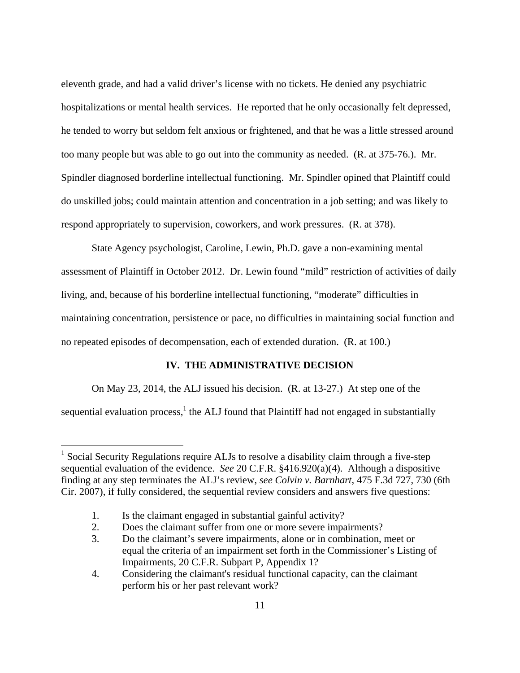eleventh grade, and had a valid driver's license with no tickets. He denied any psychiatric hospitalizations or mental health services. He reported that he only occasionally felt depressed, he tended to worry but seldom felt anxious or frightened, and that he was a little stressed around too many people but was able to go out into the community as needed. (R. at 375-76.). Mr. Spindler diagnosed borderline intellectual functioning. Mr. Spindler opined that Plaintiff could do unskilled jobs; could maintain attention and concentration in a job setting; and was likely to respond appropriately to supervision, coworkers, and work pressures. (R. at 378).

 State Agency psychologist, Caroline, Lewin, Ph.D. gave a non-examining mental assessment of Plaintiff in October 2012. Dr. Lewin found "mild" restriction of activities of daily living, and, because of his borderline intellectual functioning, "moderate" difficulties in maintaining concentration, persistence or pace, no difficulties in maintaining social function and no repeated episodes of decompensation, each of extended duration. (R. at 100.)

# **IV. THE ADMINISTRATIVE DECISION**

On May 23, 2014, the ALJ issued his decision. (R. at 13-27.) At step one of the

sequential evaluation process,  $1$  the ALJ found that Plaintiff had not engaged in substantially

 $\overline{a}$ 

<sup>&</sup>lt;sup>1</sup> Social Security Regulations require ALJs to resolve a disability claim through a five-step sequential evaluation of the evidence. *See* 20 C.F.R. §416.920(a)(4). Although a dispositive finding at any step terminates the ALJ's review, *see Colvin v. Barnhart*, 475 F.3d 727, 730 (6th Cir. 2007), if fully considered, the sequential review considers and answers five questions:

 <sup>1.</sup> Is the claimant engaged in substantial gainful activity?

 <sup>2.</sup> Does the claimant suffer from one or more severe impairments?

 <sup>3.</sup> Do the claimant's severe impairments, alone or in combination, meet or equal the criteria of an impairment set forth in the Commissioner's Listing of Impairments, 20 C.F.R. Subpart P, Appendix 1?

 <sup>4.</sup> Considering the claimant's residual functional capacity, can the claimant perform his or her past relevant work?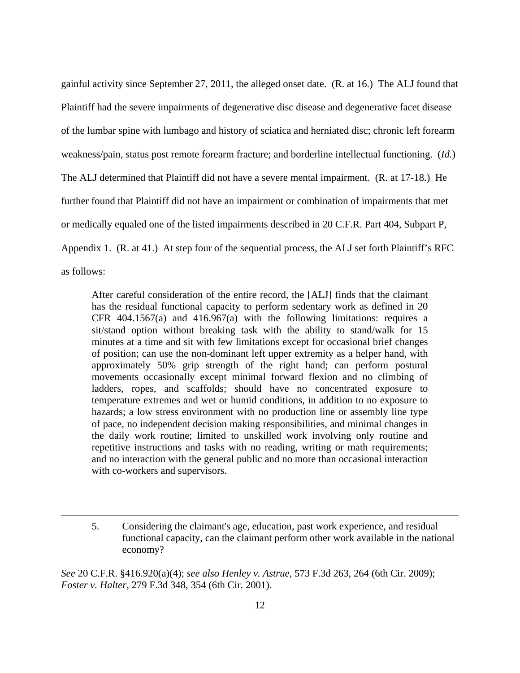gainful activity since September 27, 2011, the alleged onset date. (R. at 16.) The ALJ found that Plaintiff had the severe impairments of degenerative disc disease and degenerative facet disease of the lumbar spine with lumbago and history of sciatica and herniated disc; chronic left forearm weakness/pain, status post remote forearm fracture; and borderline intellectual functioning. (*Id.*) The ALJ determined that Plaintiff did not have a severe mental impairment. (R. at 17-18.) He further found that Plaintiff did not have an impairment or combination of impairments that met or medically equaled one of the listed impairments described in 20 C.F.R. Part 404, Subpart P, Appendix 1. (R. at 41.) At step four of the sequential process, the ALJ set forth Plaintiff's RFC as follows:

After careful consideration of the entire record, the [ALJ] finds that the claimant has the residual functional capacity to perform sedentary work as defined in 20 CFR 404.1567(a) and 416.967(a) with the following limitations: requires a sit/stand option without breaking task with the ability to stand/walk for 15 minutes at a time and sit with few limitations except for occasional brief changes of position; can use the non-dominant left upper extremity as a helper hand, with approximately 50% grip strength of the right hand; can perform postural movements occasionally except minimal forward flexion and no climbing of ladders, ropes, and scaffolds; should have no concentrated exposure to temperature extremes and wet or humid conditions, in addition to no exposure to hazards; a low stress environment with no production line or assembly line type of pace, no independent decision making responsibilities, and minimal changes in the daily work routine; limited to unskilled work involving only routine and repetitive instructions and tasks with no reading, writing or math requirements; and no interaction with the general public and no more than occasional interaction with co-workers and supervisors.

*See* 20 C.F.R. §416.920(a)(4); *see also Henley v. Astrue*, 573 F.3d 263, 264 (6th Cir. 2009); *Foster v. Halter*, 279 F.3d 348, 354 (6th Cir. 2001).

 $\overline{a}$ 

 <sup>5.</sup> Considering the claimant's age, education, past work experience, and residual functional capacity, can the claimant perform other work available in the national economy?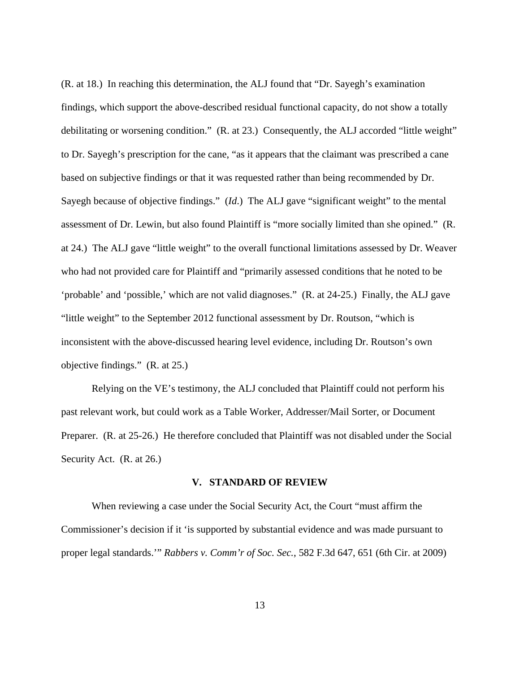(R. at 18.) In reaching this determination, the ALJ found that "Dr. Sayegh's examination findings, which support the above-described residual functional capacity, do not show a totally debilitating or worsening condition." (R. at 23.) Consequently, the ALJ accorded "little weight" to Dr. Sayegh's prescription for the cane, "as it appears that the claimant was prescribed a cane based on subjective findings or that it was requested rather than being recommended by Dr. Sayegh because of objective findings." (*Id*.) The ALJ gave "significant weight" to the mental assessment of Dr. Lewin, but also found Plaintiff is "more socially limited than she opined." (R. at 24.) The ALJ gave "little weight" to the overall functional limitations assessed by Dr. Weaver who had not provided care for Plaintiff and "primarily assessed conditions that he noted to be 'probable' and 'possible,' which are not valid diagnoses." (R. at 24-25.) Finally, the ALJ gave "little weight" to the September 2012 functional assessment by Dr. Routson, "which is inconsistent with the above-discussed hearing level evidence, including Dr. Routson's own objective findings." (R. at 25.)

 Relying on the VE's testimony, the ALJ concluded that Plaintiff could not perform his past relevant work, but could work as a Table Worker, Addresser/Mail Sorter, or Document Preparer. (R. at 25-26.) He therefore concluded that Plaintiff was not disabled under the Social Security Act. (R. at 26.)

#### **V. STANDARD OF REVIEW**

When reviewing a case under the Social Security Act, the Court "must affirm the Commissioner's decision if it 'is supported by substantial evidence and was made pursuant to proper legal standards.'" *Rabbers v. Comm'r of Soc. Sec.*, 582 F.3d 647, 651 (6th Cir. at 2009)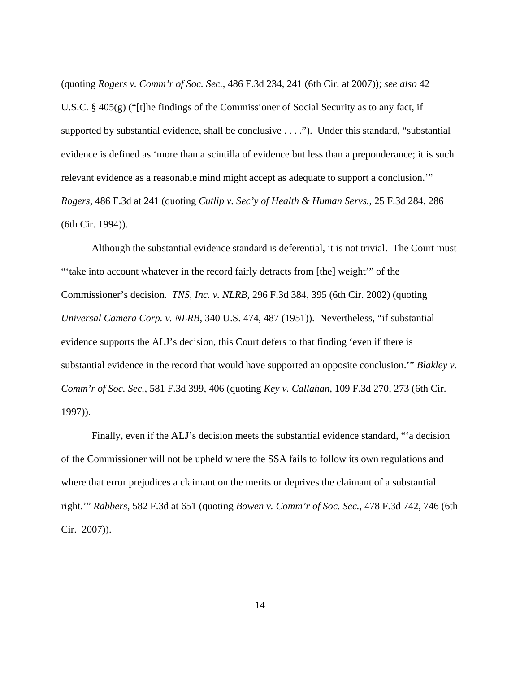(quoting *Rogers v. Comm'r of Soc. Sec.*, 486 F.3d 234, 241 (6th Cir. at 2007)); *see also* 42 U.S.C. § 405(g) ("[t]he findings of the Commissioner of Social Security as to any fact, if supported by substantial evidence, shall be conclusive . . . ."). Under this standard, "substantial evidence is defined as 'more than a scintilla of evidence but less than a preponderance; it is such relevant evidence as a reasonable mind might accept as adequate to support a conclusion.'" *Rogers*, 486 F.3d at 241 (quoting *Cutlip v. Sec'y of Health & Human Servs.*, 25 F.3d 284, 286 (6th Cir. 1994)).

 Although the substantial evidence standard is deferential, it is not trivial. The Court must "'take into account whatever in the record fairly detracts from [the] weight'" of the Commissioner's decision. *TNS, Inc. v. NLRB*, 296 F.3d 384, 395 (6th Cir. 2002) (quoting *Universal Camera Corp. v. NLRB*, 340 U.S. 474, 487 (1951)). Nevertheless, "if substantial evidence supports the ALJ's decision, this Court defers to that finding 'even if there is substantial evidence in the record that would have supported an opposite conclusion.'" *Blakley v. Comm'r of Soc. Sec.*, 581 F.3d 399, 406 (quoting *Key v. Callahan*, 109 F.3d 270, 273 (6th Cir. 1997)).

 Finally, even if the ALJ's decision meets the substantial evidence standard, "'a decision of the Commissioner will not be upheld where the SSA fails to follow its own regulations and where that error prejudices a claimant on the merits or deprives the claimant of a substantial right.'" *Rabbers*, 582 F.3d at 651 (quoting *Bowen v. Comm'r of Soc. Sec.*, 478 F.3d 742, 746 (6th Cir. 2007)).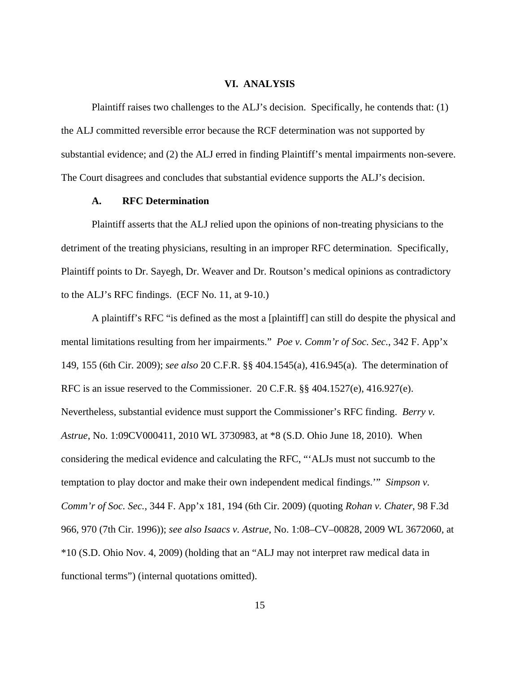## **VI. ANALYSIS**

 Plaintiff raises two challenges to the ALJ's decision. Specifically, he contends that: (1) the ALJ committed reversible error because the RCF determination was not supported by substantial evidence; and (2) the ALJ erred in finding Plaintiff's mental impairments non-severe. The Court disagrees and concludes that substantial evidence supports the ALJ's decision.

## **A. RFC Determination**

 Plaintiff asserts that the ALJ relied upon the opinions of non-treating physicians to the detriment of the treating physicians, resulting in an improper RFC determination. Specifically, Plaintiff points to Dr. Sayegh, Dr. Weaver and Dr. Routson's medical opinions as contradictory to the ALJ's RFC findings. (ECF No. 11, at 9-10.)

 A plaintiff's RFC "is defined as the most a [plaintiff] can still do despite the physical and mental limitations resulting from her impairments." *Poe v. Comm'r of Soc. Sec.*, 342 F. App'x 149, 155 (6th Cir. 2009); *see also* 20 C.F.R. §§ 404.1545(a), 416.945(a). The determination of RFC is an issue reserved to the Commissioner. 20 C.F.R. §§ 404.1527(e), 416.927(e). Nevertheless, substantial evidence must support the Commissioner's RFC finding. *Berry v. Astrue*, No. 1:09CV000411, 2010 WL 3730983, at \*8 (S.D. Ohio June 18, 2010). When considering the medical evidence and calculating the RFC, "'ALJs must not succumb to the temptation to play doctor and make their own independent medical findings.'" *Simpson v. Comm'r of Soc. Sec.*, 344 F. App'x 181, 194 (6th Cir. 2009) (quoting *Rohan v. Chater*, 98 F.3d 966, 970 (7th Cir. 1996)); *see also Isaacs v. Astrue*, No. 1:08–CV–00828, 2009 WL 3672060, at \*10 (S.D. Ohio Nov. 4, 2009) (holding that an "ALJ may not interpret raw medical data in functional terms") (internal quotations omitted).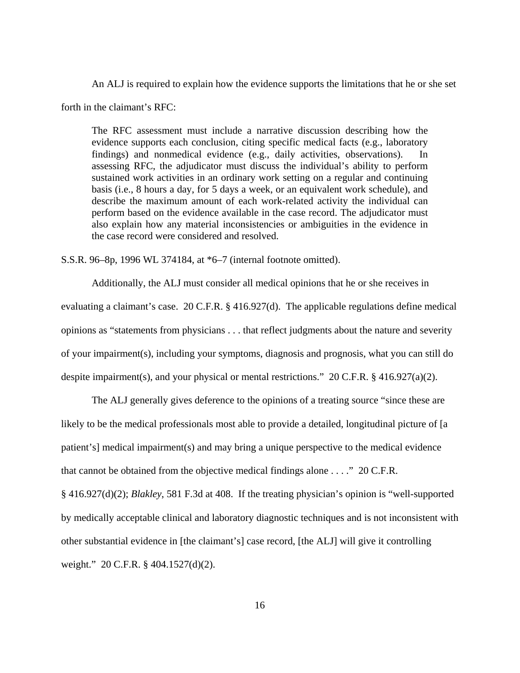An ALJ is required to explain how the evidence supports the limitations that he or she set

forth in the claimant's RFC:

The RFC assessment must include a narrative discussion describing how the evidence supports each conclusion, citing specific medical facts (e.g., laboratory findings) and nonmedical evidence (e.g., daily activities, observations). In assessing RFC, the adjudicator must discuss the individual's ability to perform sustained work activities in an ordinary work setting on a regular and continuing basis (i.e., 8 hours a day, for 5 days a week, or an equivalent work schedule), and describe the maximum amount of each work-related activity the individual can perform based on the evidence available in the case record. The adjudicator must also explain how any material inconsistencies or ambiguities in the evidence in the case record were considered and resolved.

S.S.R. 96–8p, 1996 WL 374184, at \*6–7 (internal footnote omitted).

Additionally, the ALJ must consider all medical opinions that he or she receives in evaluating a claimant's case. 20 C.F.R. § 416.927(d). The applicable regulations define medical opinions as "statements from physicians . . . that reflect judgments about the nature and severity of your impairment(s), including your symptoms, diagnosis and prognosis, what you can still do despite impairment(s), and your physical or mental restrictions." 20 C.F.R. § 416.927(a)(2).

 The ALJ generally gives deference to the opinions of a treating source "since these are likely to be the medical professionals most able to provide a detailed, longitudinal picture of [a] patient's] medical impairment(s) and may bring a unique perspective to the medical evidence that cannot be obtained from the objective medical findings alone . . . ." 20 C.F.R.

§ 416.927(d)(2); *Blakley*, 581 F.3d at 408. If the treating physician's opinion is "well-supported by medically acceptable clinical and laboratory diagnostic techniques and is not inconsistent with other substantial evidence in [the claimant's] case record, [the ALJ] will give it controlling weight." 20 C.F.R. § 404.1527(d)(2).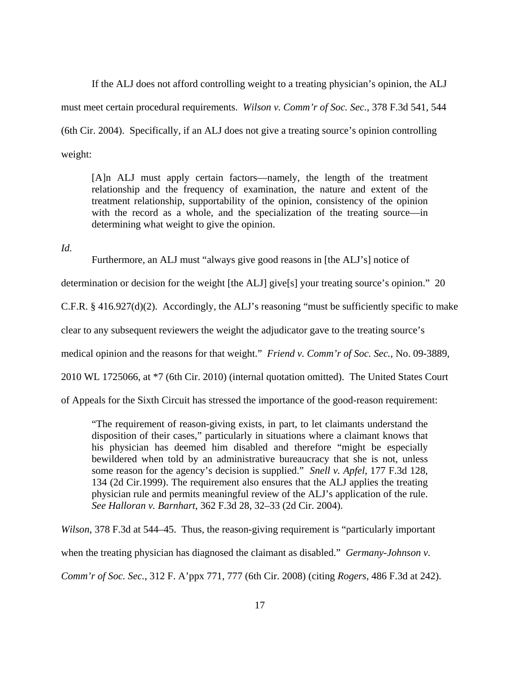If the ALJ does not afford controlling weight to a treating physician's opinion, the ALJ must meet certain procedural requirements. *Wilson v. Comm'r of Soc. Sec.*, 378 F.3d 541, 544 (6th Cir. 2004). Specifically, if an ALJ does not give a treating source's opinion controlling weight:

[A]n ALJ must apply certain factors—namely, the length of the treatment relationship and the frequency of examination, the nature and extent of the treatment relationship, supportability of the opinion, consistency of the opinion with the record as a whole, and the specialization of the treating source—in determining what weight to give the opinion.

*Id.*

Furthermore, an ALJ must "always give good reasons in [the ALJ's] notice of

determination or decision for the weight [the ALJ] give[s] your treating source's opinion." 20

C.F.R. § 416.927(d)(2). Accordingly, the ALJ's reasoning "must be sufficiently specific to make

clear to any subsequent reviewers the weight the adjudicator gave to the treating source's

medical opinion and the reasons for that weight." *Friend v. Comm'r of Soc. Sec.*, No. 09-3889,

2010 WL 1725066, at \*7 (6th Cir. 2010) (internal quotation omitted). The United States Court

of Appeals for the Sixth Circuit has stressed the importance of the good-reason requirement:

"The requirement of reason-giving exists, in part, to let claimants understand the disposition of their cases," particularly in situations where a claimant knows that his physician has deemed him disabled and therefore "might be especially bewildered when told by an administrative bureaucracy that she is not, unless some reason for the agency's decision is supplied." *Snell v. Apfel*, 177 F.3d 128, 134 (2d Cir.1999). The requirement also ensures that the ALJ applies the treating physician rule and permits meaningful review of the ALJ's application of the rule. *See Halloran v. Barnhart*, 362 F.3d 28, 32–33 (2d Cir. 2004).

*Wilson*, 378 F.3d at 544–45. Thus, the reason-giving requirement is "particularly important when the treating physician has diagnosed the claimant as disabled." *Germany-Johnson v. Comm'r of Soc. Sec.*, 312 F. A'ppx 771, 777 (6th Cir. 2008) (citing *Rogers*, 486 F.3d at 242).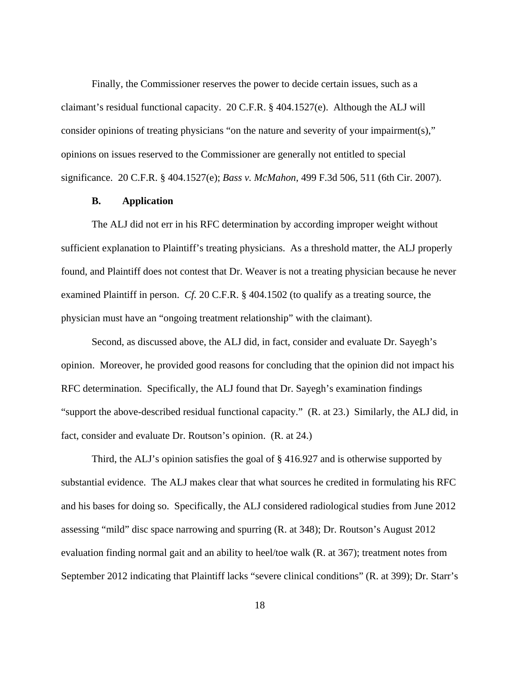Finally, the Commissioner reserves the power to decide certain issues, such as a claimant's residual functional capacity. 20 C.F.R. § 404.1527(e). Although the ALJ will consider opinions of treating physicians "on the nature and severity of your impairment(s)," opinions on issues reserved to the Commissioner are generally not entitled to special significance. 20 C.F.R. § 404.1527(e); *Bass v. McMahon*, 499 F.3d 506, 511 (6th Cir. 2007).

## **B. Application**

The ALJ did not err in his RFC determination by according improper weight without sufficient explanation to Plaintiff's treating physicians. As a threshold matter, the ALJ properly found, and Plaintiff does not contest that Dr. Weaver is not a treating physician because he never examined Plaintiff in person. *Cf.* 20 C.F.R. § 404.1502 (to qualify as a treating source, the physician must have an "ongoing treatment relationship" with the claimant).

 Second, as discussed above, the ALJ did, in fact, consider and evaluate Dr. Sayegh's opinion. Moreover, he provided good reasons for concluding that the opinion did not impact his RFC determination. Specifically, the ALJ found that Dr. Sayegh's examination findings "support the above-described residual functional capacity." (R. at 23.) Similarly, the ALJ did, in fact, consider and evaluate Dr. Routson's opinion. (R. at 24.)

Third, the ALJ's opinion satisfies the goal of § 416.927 and is otherwise supported by substantial evidence. The ALJ makes clear that what sources he credited in formulating his RFC and his bases for doing so. Specifically, the ALJ considered radiological studies from June 2012 assessing "mild" disc space narrowing and spurring (R. at 348); Dr. Routson's August 2012 evaluation finding normal gait and an ability to heel/toe walk (R. at 367); treatment notes from September 2012 indicating that Plaintiff lacks "severe clinical conditions" (R. at 399); Dr. Starr's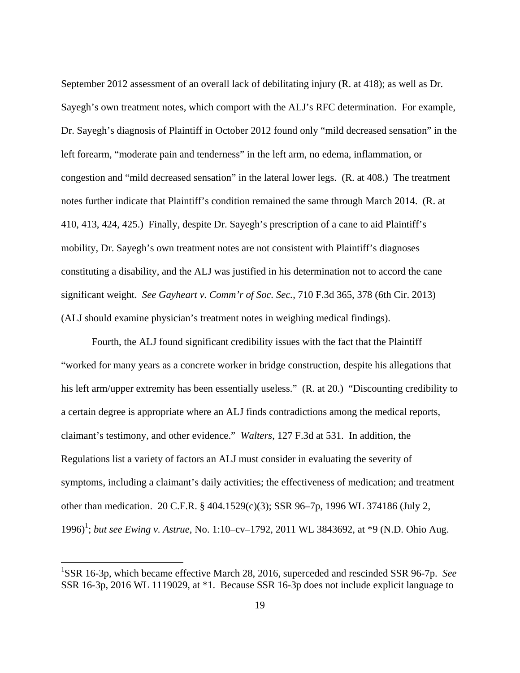September 2012 assessment of an overall lack of debilitating injury (R. at 418); as well as Dr. Sayegh's own treatment notes, which comport with the ALJ's RFC determination. For example, Dr. Sayegh's diagnosis of Plaintiff in October 2012 found only "mild decreased sensation" in the left forearm, "moderate pain and tenderness" in the left arm, no edema, inflammation, or congestion and "mild decreased sensation" in the lateral lower legs. (R. at 408.) The treatment notes further indicate that Plaintiff's condition remained the same through March 2014. (R. at 410, 413, 424, 425.) Finally, despite Dr. Sayegh's prescription of a cane to aid Plaintiff's mobility, Dr. Sayegh's own treatment notes are not consistent with Plaintiff's diagnoses constituting a disability, and the ALJ was justified in his determination not to accord the cane significant weight. *See Gayheart v. Comm'r of Soc. Sec.*, 710 F.3d 365, 378 (6th Cir. 2013) (ALJ should examine physician's treatment notes in weighing medical findings).

Fourth, the ALJ found significant credibility issues with the fact that the Plaintiff "worked for many years as a concrete worker in bridge construction, despite his allegations that his left arm/upper extremity has been essentially useless." (R. at 20.) "Discounting credibility to a certain degree is appropriate where an ALJ finds contradictions among the medical reports, claimant's testimony, and other evidence." *Walters*, 127 F.3d at 531. In addition, the Regulations list a variety of factors an ALJ must consider in evaluating the severity of symptoms, including a claimant's daily activities; the effectiveness of medication; and treatment other than medication. 20 C.F.R. § 404.1529(c)(3); SSR 96–7p, 1996 WL 374186 (July 2, 1996)<sup>1</sup>; *but see Ewing v. Astrue*, No. 1:10-cv-1792, 2011 WL 3843692, at \*9 (N.D. Ohio Aug.

 $\overline{a}$ 

<sup>&</sup>lt;sup>1</sup>SSR 16-3p, which became effective March 28, 2016, superceded and rescinded SSR 96-7p. See SSR 16-3p, 2016 WL 1119029, at \*1. Because SSR 16-3p does not include explicit language to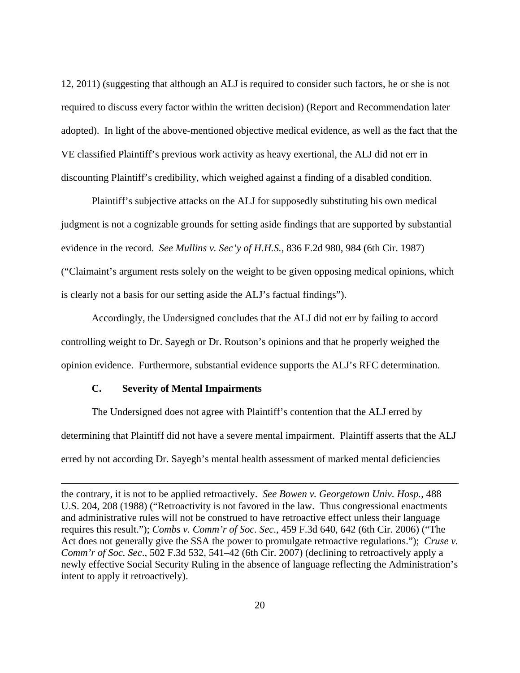12, 2011) (suggesting that although an ALJ is required to consider such factors, he or she is not required to discuss every factor within the written decision) (Report and Recommendation later adopted). In light of the above-mentioned objective medical evidence, as well as the fact that the VE classified Plaintiff's previous work activity as heavy exertional, the ALJ did not err in discounting Plaintiff's credibility, which weighed against a finding of a disabled condition.

Plaintiff's subjective attacks on the ALJ for supposedly substituting his own medical judgment is not a cognizable grounds for setting aside findings that are supported by substantial evidence in the record. *See Mullins v. Sec'y of H.H.S.*, 836 F.2d 980, 984 (6th Cir. 1987) ("Claimaint's argument rests solely on the weight to be given opposing medical opinions, which is clearly not a basis for our setting aside the ALJ's factual findings").

Accordingly, the Undersigned concludes that the ALJ did not err by failing to accord controlling weight to Dr. Sayegh or Dr. Routson's opinions and that he properly weighed the opinion evidence. Furthermore, substantial evidence supports the ALJ's RFC determination.

### **C. Severity of Mental Impairments**

<u>.</u>

The Undersigned does not agree with Plaintiff's contention that the ALJ erred by determining that Plaintiff did not have a severe mental impairment. Plaintiff asserts that the ALJ erred by not according Dr. Sayegh's mental health assessment of marked mental deficiencies

the contrary, it is not to be applied retroactively. *See Bowen v. Georgetown Univ. Hosp.,* 488 U.S. 204, 208 (1988) ("Retroactivity is not favored in the law. Thus congressional enactments and administrative rules will not be construed to have retroactive effect unless their language requires this result."); *Combs v. Comm'r of Soc. Sec*., 459 F.3d 640, 642 (6th Cir. 2006) ("The Act does not generally give the SSA the power to promulgate retroactive regulations."); *Cruse v. Comm'r of Soc. Sec*., 502 F.3d 532, 541–42 (6th Cir. 2007) (declining to retroactively apply a newly effective Social Security Ruling in the absence of language reflecting the Administration's intent to apply it retroactively).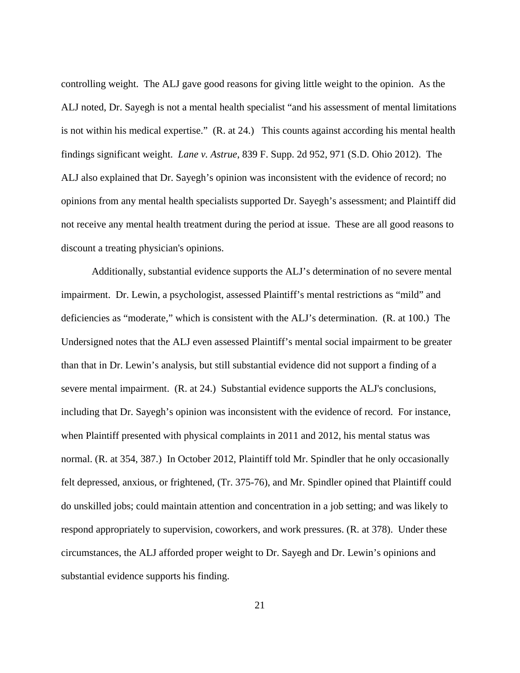controlling weight. The ALJ gave good reasons for giving little weight to the opinion. As the ALJ noted, Dr. Sayegh is not a mental health specialist "and his assessment of mental limitations is not within his medical expertise." (R. at 24.) This counts against according his mental health findings significant weight. *Lane v. Astrue*, 839 F. Supp. 2d 952, 971 (S.D. Ohio 2012). The ALJ also explained that Dr. Sayegh's opinion was inconsistent with the evidence of record; no opinions from any mental health specialists supported Dr. Sayegh's assessment; and Plaintiff did not receive any mental health treatment during the period at issue. These are all good reasons to discount a treating physician's opinions.

Additionally, substantial evidence supports the ALJ's determination of no severe mental impairment. Dr. Lewin, a psychologist, assessed Plaintiff's mental restrictions as "mild" and deficiencies as "moderate," which is consistent with the ALJ's determination. (R. at 100.) The Undersigned notes that the ALJ even assessed Plaintiff's mental social impairment to be greater than that in Dr. Lewin's analysis, but still substantial evidence did not support a finding of a severe mental impairment. (R. at 24.) Substantial evidence supports the ALJ's conclusions, including that Dr. Sayegh's opinion was inconsistent with the evidence of record. For instance, when Plaintiff presented with physical complaints in 2011 and 2012, his mental status was normal. (R. at 354, 387.) In October 2012, Plaintiff told Mr. Spindler that he only occasionally felt depressed, anxious, or frightened, (Tr. 375-76), and Mr. Spindler opined that Plaintiff could do unskilled jobs; could maintain attention and concentration in a job setting; and was likely to respond appropriately to supervision, coworkers, and work pressures. (R. at 378). Under these circumstances, the ALJ afforded proper weight to Dr. Sayegh and Dr. Lewin's opinions and substantial evidence supports his finding.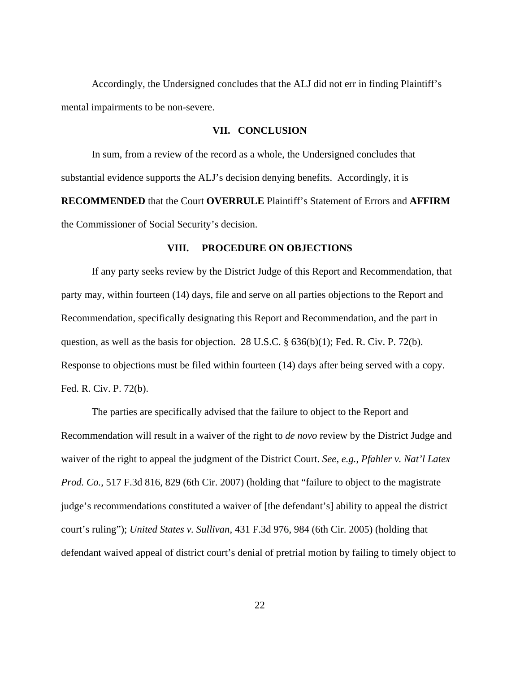Accordingly, the Undersigned concludes that the ALJ did not err in finding Plaintiff's mental impairments to be non-severe.

## **VII. CONCLUSION**

 In sum, from a review of the record as a whole, the Undersigned concludes that substantial evidence supports the ALJ's decision denying benefits. Accordingly, it is **RECOMMENDED** that the Court **OVERRULE** Plaintiff's Statement of Errors and **AFFIRM** the Commissioner of Social Security's decision.

## **VIII. PROCEDURE ON OBJECTIONS**

 If any party seeks review by the District Judge of this Report and Recommendation, that party may, within fourteen (14) days, file and serve on all parties objections to the Report and Recommendation, specifically designating this Report and Recommendation, and the part in question, as well as the basis for objection. 28 U.S.C. § 636(b)(1); Fed. R. Civ. P. 72(b). Response to objections must be filed within fourteen (14) days after being served with a copy. Fed. R. Civ. P. 72(b).

 The parties are specifically advised that the failure to object to the Report and Recommendation will result in a waiver of the right to *de novo* review by the District Judge and waiver of the right to appeal the judgment of the District Court. *See, e.g.*, *Pfahler v. Nat'l Latex Prod. Co.*, 517 F.3d 816*,* 829 (6th Cir. 2007) (holding that "failure to object to the magistrate judge's recommendations constituted a waiver of [the defendant's] ability to appeal the district court's ruling"); *United States v. Sullivan*, 431 F.3d 976, 984 (6th Cir. 2005) (holding that defendant waived appeal of district court's denial of pretrial motion by failing to timely object to